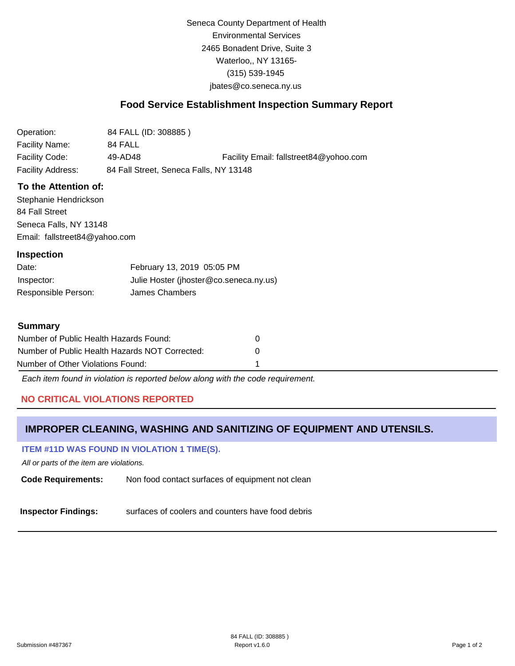Seneca County Department of Health Environmental Services 2465 Bonadent Drive, Suite 3 Waterloo,, NY 13165- (315) 539-1945 [jbates@co.seneca.ny.us](mailto:jbates@co.seneca.ny.us)

## **Food Service Establishment Inspection Summary Report**

| Operation:        | 84 FALL (ID: 308885)                   |                                        |
|-------------------|----------------------------------------|----------------------------------------|
| Facility Name:    | 84 FALL                                |                                        |
| Facility Code:    | 49-AD48                                | Facility Email: fallstreet84@yohoo.com |
| Facility Address: | 84 Fall Street, Seneca Falls, NY 13148 |                                        |

### **To the Attention of:**

Stephanie Hendrickson 84 Fall Street Seneca Falls, NY 13148 [Email: fallstreet84@yahoo.com](mailto:fallstreet84@yahoo.com)

#### **Inspection**

| Date:               | February 13, 2019 05:05 PM             |
|---------------------|----------------------------------------|
| Inspector:          | Julie Hoster (jhoster@co.seneca.ny.us) |
| Responsible Person: | James Chambers                         |

### **Summary**

| Number of Public Health Hazards Found:         |   |
|------------------------------------------------|---|
| Number of Public Health Hazards NOT Corrected: | n |
| Number of Other Violations Found:              |   |

*Each item found in violation is reported below along with the code requirement.*

## **NO CRITICAL VIOLATIONS REPORTED**

## **IMPROPER CLEANING, WASHING AND SANITIZING OF EQUIPMENT AND UTENSILS.**

### **ITEM #11D WAS FOUND IN VIOLATION 1 TIME(S).**

*All or parts of the item are violations.*

**Code Requirements:** Non food contact surfaces of equipment not clean

**Inspector Findings:** surfaces of coolers and counters have food debris